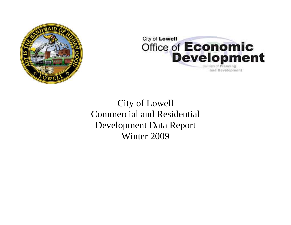



City of Lowell Commercial and Residential Development Data Report Winter 2009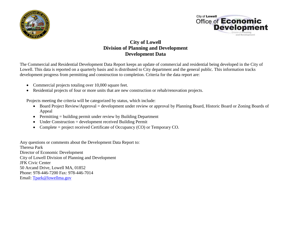



# **City of Lowell Division of Planning and Development Development Data**

The Commercial and Residential Development Data Report keeps an update of commercial and residential being developed in the City of Lowell. This data is reported on a quarterly basis and is distributed to City department and the general public. This information tracks development progress from permitting and construction to completion. Criteria for the data report are:

- Commercial projects totaling over 10,000 square feet.
- Residential projects of four or more units that are new construction or rehab/renovation projects.

Projects meeting the criteria will be categorized by status, which include:

- Board Project Review/Approval = development under review or approval by Planning Board, Historic Board or Zoning Boards of Appeal
- Permitting = building permit under review by Building Department
- Under Construction = development received Building Permit
- Complete = project received Certificate of Occupancy (CO) or Temporary CO.

Any questions or comments about the Development Data Report to: Theresa Park Director of Economic Development City of Lowell Division of Planning and Development JFK Civic Center 50 Arcand Drive, Lowell MA, 01852 Phone: 978-446-7200 Fax: 978-446-7014 Email: [Tpark@lowellma.gov](mailto:Tpark@lowellma.gov)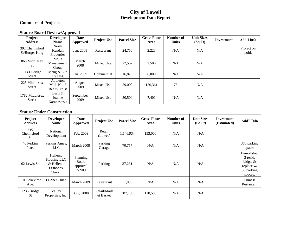### **City of Lowell Development Data Report**

### **Commercial Projects**

#### **Status: Board Review/Approval**

| Project<br><b>Address</b>        | <b>Developer</b><br><b>Name</b>                | <b>Date</b><br>Approved | <b>Project Use</b> | <b>Parcel Size</b> | <b>Gross Floor</b><br>Area | Number of<br><b>Units</b> | <b>Unit Sizes</b><br>(SqFt) | Investment | Add'l Info          |
|----------------------------------|------------------------------------------------|-------------------------|--------------------|--------------------|----------------------------|---------------------------|-----------------------------|------------|---------------------|
| 392 Chelmsford<br>St/Burger King | North<br>Kendall<br>Properties                 | Jan. 2008               | Restaurant         | 24,750             | 2,223                      | N/A                       | N/A                         |            | Project on<br>hold. |
| 868 Middlesex<br><b>St</b>       | Mejia<br>Management<br>Group                   | March<br>2008           | Mixed Use          | 22,552             | 2,500                      | N/A                       | N/A                         |            |                     |
| 1141 Bridge<br>Street            | Meng & Lun<br>Ly Ung                           | Jan. 2009               | Commercial         | 16,826             | 6,000                      | N/A                       | N/A                         |            |                     |
| 225 Middlesex<br><b>Street</b>   | Appleton<br>Mills No. 5<br><b>Realty Trust</b> | August<br>2009          | Mixed Use          | 59,000             | 150,361                    | 75                        | N/A                         |            |                     |
| 1782 Middlesex<br><b>Street</b>  | Basil $\&$<br>Joanne<br>Karanastasis           | September<br>2009       | Mixed Use          | 30,500             | 7,401                      | N/A                       | N/A                         |            |                     |

### **Status: Under Construction**

| Project<br><b>Address</b> | <b>Developer</b><br><b>Name</b>                             | Date<br><b>Approved</b>                 | <b>Project Use</b>       | <b>Parcel Size</b> | <b>Gross Floor</b><br>Area | Number of<br><b>Units</b> | <b>Unit Sizes</b><br>(SqFt) | <b>Investment</b><br>(Estimated) | Add'l Info                                                                  |
|---------------------------|-------------------------------------------------------------|-----------------------------------------|--------------------------|--------------------|----------------------------|---------------------------|-----------------------------|----------------------------------|-----------------------------------------------------------------------------|
| 790<br>Chelmsford<br>St.  | National<br>Development                                     | Feb. 2009                               | Retail<br>(Lowes)        | 1,146,934          | 153,000                    | N/A                       | N/A                         |                                  |                                                                             |
| 40 Perkins<br>Place       | Perkins Ames,<br>LLC <sub>1</sub>                           | March 2008                              | Parking<br>Garage        | 70,757             | N/A                        | N/A                       | N/A                         |                                  | 360 parking<br>spaces                                                       |
| 62 Lewis St.              | Hellenic<br>Housing LLC<br>& Hellenic<br>Orthodox<br>Church | Planning<br>Board<br>approval<br>2/2/09 | Parking                  | 37,261             | N/A                        | N/A                       | N/A                         |                                  | Demolished<br>2 resid.<br>bldgs. $&$<br>replace w/<br>55 parking<br>spaces. |
| 101 Lakeview<br>Ave.      | Li Zhen Huan                                                | March 2009                              | Restaurant               | 11,090             | N/A                        | N/A                       | N/A                         |                                  | Chinese<br>Restaurant                                                       |
| 1235 Bridge<br><b>St</b>  | Valley<br>Properties, Inc.                                  | Aug. 2008                               | Retail/Mark<br>et Basket | 387,708            | 110,500                    | N/A                       | N/A                         |                                  |                                                                             |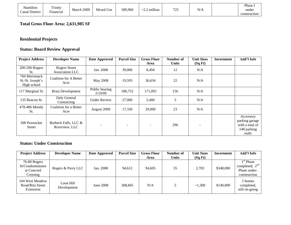| Hamilton       | Trinity         |            |           |         |                                                  |               |     | Phase.       |
|----------------|-----------------|------------|-----------|---------|--------------------------------------------------|---------------|-----|--------------|
| Canal District | --<br>Financial | March 2009 | Mixed Use | 589,960 | million<br>$\sim$ $\sim$<br>$\sim$ /<br><u>.</u> | 705<br>ل کے ا | N/A | under        |
|                |                 |            |           |         |                                                  |               |     | construction |

# **Total Gross Floor Area: 2,631,985 SF**

# **Residential Projects**

# **Status: Board Review Approval**

| <b>Project Address</b>                           | <b>Developer Name</b>                   | Date Approved             | <b>Parcel Size</b> | <b>Gross Floor</b> | Number of    | <b>Unit Sizes</b> | Investment | Add'l Info                                                              |
|--------------------------------------------------|-----------------------------------------|---------------------------|--------------------|--------------------|--------------|-------------------|------------|-------------------------------------------------------------------------|
|                                                  |                                         |                           |                    | Area               | <b>Units</b> | (SqFt)            |            |                                                                         |
| 200-206 Rogers<br>St.                            | <b>Rogers Street</b><br>Association LLC | Jan. 2008                 | 39,006             | 8,494              | 12           | N/A               |            |                                                                         |
| 760 Merrimack<br>St./St. Joseph's<br>High school | Coalition for A Better<br>Acre          | May 2008                  | 19,593             | 36,634             | 22           | N/A               |            |                                                                         |
| 117 Marginal St.                                 | <b>Brasi Development</b>                | Public hearing<br>2/19/09 | 180,753            | 171,092            | 156          | N/A               |            |                                                                         |
| 135 Beacon St.                                   | Daly General<br>Contracting             | <b>Under Review</b>       | 27,000             | 5,400              | 5            | N/A               |            |                                                                         |
| 478-486 Moody<br>St.                             | Coalition for a Better<br>Acre          | August 2009               | 17,330             | 29,000             | 23           | N/A               |            |                                                                         |
| 500 Pawtucket<br><b>Street</b>                   | Burbeck Falls, LLC &<br>Riverview, LLC  |                           |                    |                    | 296          |                   |            | Accessory<br>parking garage<br>with a total of<br>148 parking<br>stalls |

#### **Status: Under Construction**

| <b>Project Address</b>                                    | <b>Developer Name</b>    | Date Approved | <b>Parcel Size</b> | <b>Gross Floor</b> | Number of    | <b>Unit Sizes</b> | Investment | Add'l Info                                                                |
|-----------------------------------------------------------|--------------------------|---------------|--------------------|--------------------|--------------|-------------------|------------|---------------------------------------------------------------------------|
|                                                           |                          |               |                    | Area               | <b>Units</b> | (SqFt)            |            |                                                                           |
| 76-80 Rogers<br>St/Condominiums<br>at Concord<br>Crossing | Rogers & Perry LLC       | Jan. 2008     | 94.612             | 94,605             | 35           | 2,703             | \$348,000  | 1 <sup>st</sup> Phase<br>completed; $2nd$<br>Phase under-<br>construction |
| 104 West Meadow<br>Road/Rita Street<br>Extension          | Loon Hill<br>Development | June 2008     | 308,845            | N/A                |              | ~1,300            | \$140,000  | 2 homes<br>completed,<br>still on-going                                   |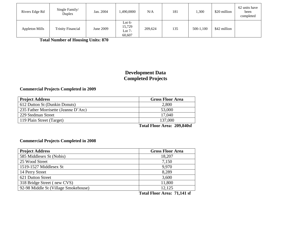| Rivers Edge Rd        | Single Family/<br>Duplex | Jan. 2004 | 1,490,0000                               | N/A     | 181 | 1,300     | \$20 million | 62 units have<br>been<br>completed |
|-----------------------|--------------------------|-----------|------------------------------------------|---------|-----|-----------|--------------|------------------------------------|
| <b>Appleton Mills</b> | <b>Trinity Financial</b> | June 2009 | Lot $6-$<br>15,729<br>Lot $7-$<br>60,607 | 209,624 | 135 | 500-1,100 | \$42 million |                                    |

 **Total Number of Housing Units: 870**

# **Development Data Completed Projects**

### **Commercial Projects Completed in 2009**

| <b>Gross Floor Area</b> |
|-------------------------|
| 2,800                   |
| 53,000                  |
| 17,040                  |
| 137,000                 |
|                         |

**Total Floor Area: 209,840sf**

#### **Commercial Projects Completed in 2008**

| <b>Project Address</b>               | <b>Gross Floor Area</b> |
|--------------------------------------|-------------------------|
| 585 Middlesex St (Nobis)             | 18,207                  |
| 25 Wood Street                       | 7,150                   |
| 1519-1527 Middlesex St               | 9.970                   |
| 14 Perry Street                      | 8,289                   |
| 621 Dutton Street                    | 3,600                   |
| 318 Bridge Street (new CVS)          | 11,800                  |
| 92-98 Middle St (Village Smokehouse) | 12,125                  |

**Total Floor Area: 71,141 sf**